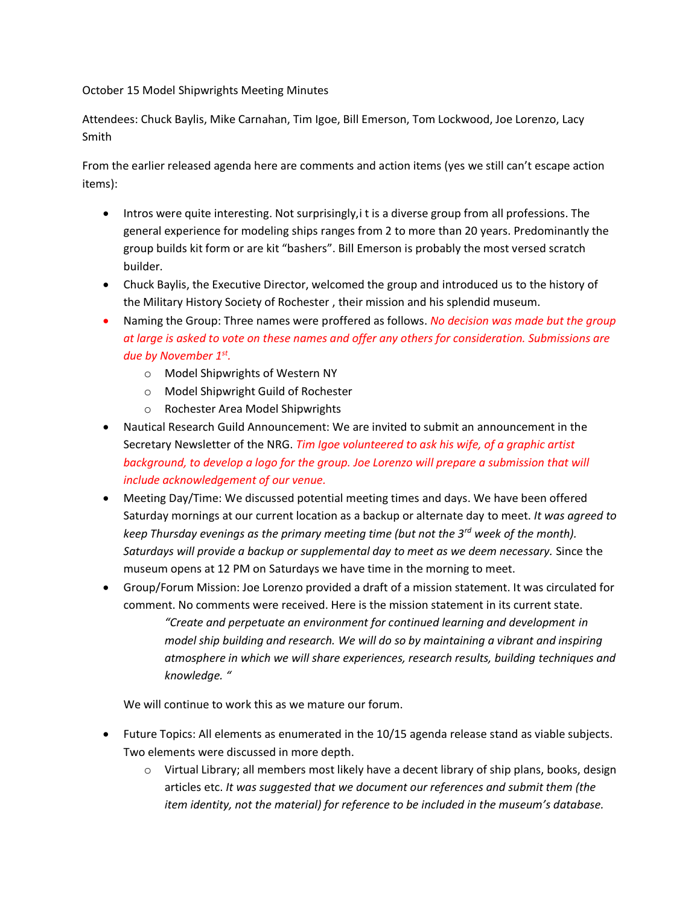October 15 Model Shipwrights Meeting Minutes

Attendees: Chuck Baylis, Mike Carnahan, Tim Igoe, Bill Emerson, Tom Lockwood, Joe Lorenzo, Lacy Smith

From the earlier released agenda here are comments and action items (yes we still can't escape action items):

- Intros were quite interesting. Not surprisingly, it is a diverse group from all professions. The general experience for modeling ships ranges from 2 to more than 20 years. Predominantly the group builds kit form or are kit "bashers". Bill Emerson is probably the most versed scratch builder.
- Chuck Baylis, the Executive Director, welcomed the group and introduced us to the history of the Military History Society of Rochester , their mission and his splendid museum.
- Naming the Group: Three names were proffered as follows. *No decision was made but the group at large is asked to vote on these names and offer any others for consideration. Submissions are due by November 1st .*
	- o Model Shipwrights of Western NY
	- o Model Shipwright Guild of Rochester
	- o Rochester Area Model Shipwrights
- Nautical Research Guild Announcement: We are invited to submit an announcement in the Secretary Newsletter of the NRG. *Tim Igoe volunteered to ask his wife, of a graphic artist background, to develop a logo for the group. Joe Lorenzo will prepare a submission that will include acknowledgement of our venue.*
- Meeting Day/Time: We discussed potential meeting times and days. We have been offered Saturday mornings at our current location as a backup or alternate day to meet. *It was agreed to keep Thursday evenings as the primary meeting time (but not the 3rd week of the month). Saturdays will provide a backup or supplemental day to meet as we deem necessary.* Since the museum opens at 12 PM on Saturdays we have time in the morning to meet.
- Group/Forum Mission: Joe Lorenzo provided a draft of a mission statement. It was circulated for comment. No comments were received. Here is the mission statement in its current state. *"Create and perpetuate an environment for continued learning and development in model ship building and research. We will do so by maintaining a vibrant and inspiring atmosphere in which we will share experiences, research results, building techniques and knowledge. "*

We will continue to work this as we mature our forum.

- Future Topics: All elements as enumerated in the 10/15 agenda release stand as viable subjects. Two elements were discussed in more depth.
	- $\circ$  Virtual Library; all members most likely have a decent library of ship plans, books, design articles etc. *It was suggested that we document our references and submit them (the item identity, not the material) for reference to be included in the museum's database.*